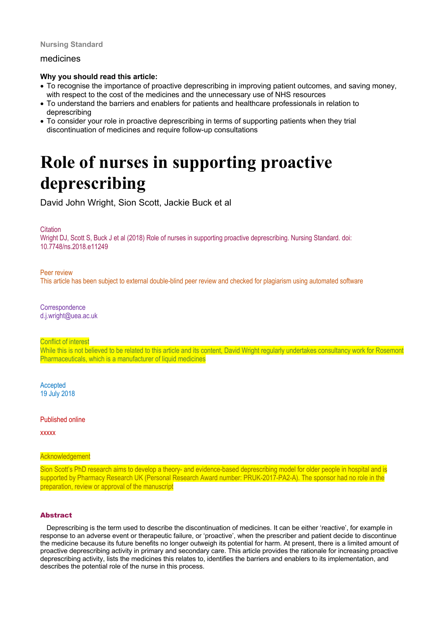# **Nursing Standard**

# medicines

# **Why you should read this article:**

- To recognise the importance of proactive deprescribing in improving patient outcomes, and saving money, with respect to the cost of the medicines and the unnecessary use of NHS resources
- To understand the barriers and enablers for patients and healthcare professionals in relation to deprescribing
- To consider your role in proactive deprescribing in terms of supporting patients when they trial discontinuation of medicines and require follow-up consultations

# **Role of nurses in supporting proactive deprescribing**

David John Wright, Sion Scott, Jackie Buck et al

**Citation** 

Wright DJ, Scott S, Buck J et al (2018) Role of nurses in supporting proactive deprescribing. Nursing Standard. doi: 10.7748/ns.2018.e11249

Peer review

This article has been subject to external double-blind peer review and checked for plagiarism using automated software

**Correspondence** d.j.wright@uea.ac.uk

Conflict of interest

While this is not believed to be related to this article and its content, David Wright regularly undertakes consultancy work for Rosemont Pharmaceuticals, which is a manufacturer of liquid medicines

Accepted 19 July 2018

Published online

xxxxx

# **Acknowledgement**

Sion Scott's PhD research aims to develop a theory- and evidence-based deprescribing model for older people in hospital and is supported by Pharmacy Research UK (Personal Research Award number: PRUK-2017-PA2-A). The sponsor had no role in the preparation, review or approval of the manuscript

# Abstract

Deprescribing is the term used to describe the discontinuation of medicines. It can be either 'reactive', for example in response to an adverse event or therapeutic failure, or 'proactive', when the prescriber and patient decide to discontinue the medicine because its future benefits no longer outweigh its potential for harm. At present, there is a limited amount of proactive deprescribing activity in primary and secondary care. This article provides the rationale for increasing proactive deprescribing activity, lists the medicines this relates to, identifies the barriers and enablers to its implementation, and describes the potential role of the nurse in this process.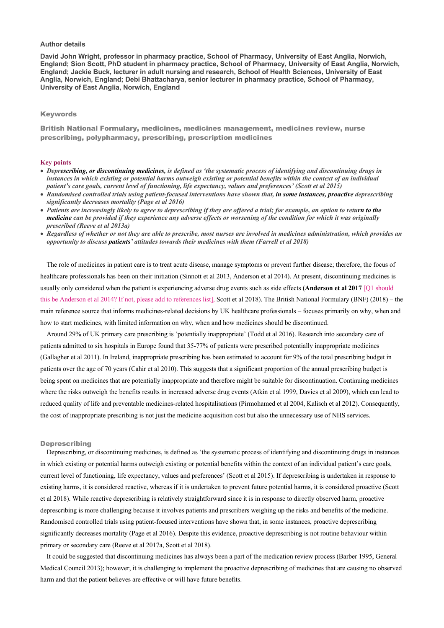# **Author details**

**David John Wright, professor in pharmacy practice, School of Pharmacy, University of East Anglia, Norwich, England; Sion Scott, PhD student in pharmacy practice, School of Pharmacy, University of East Anglia, Norwich, England; Jackie Buck, lecturer in adult nursing and research, School of Health Sciences, University of East Anglia, Norwich, England; Debi Bhattacharya, senior lecturer in pharmacy practice, School of Pharmacy, University of East Anglia, Norwich, England**

# Keywords

British National Formulary, medicines, medicines management, medicines review, nurse prescribing, polypharmacy, prescribing, prescription medicines

## **Key points**

- *Deprescribing, or discontinuing medicines, is defined as 'the systematic process of identifying and discontinuing drugs in instances in which existing or potential harms outweigh existing or potential benefits within the context of an individual patient's care goals, current level of functioning, life expectancy, values and preferences' (Scott et al 2015)*
- *Randomised controlled trials using patient-focused interventions have shown that, in some instances, proactive deprescribing significantly decreases mortality (Page et al 2016)*
- *Patients are increasingly likely to agree to deprescribing if they are offered a trial; for example, an option to return to the medicine can be provided if they experience any adverse effects or worsening of the condition for which it was originally prescribed (Reeve et al 2013a)*
- *Regardless of whether or not they are able to prescribe, most nurses are involved in medicines administration, which provides an opportunity to discuss patients' attitudes towards their medicines with them (Farrell et al 2018)*

The role of medicines in patient care is to treat acute disease, manage symptoms or prevent further disease; therefore, the focus of healthcare professionals has been on their initiation (Sinnott et al 2013, Anderson et al 2014). At present, discontinuing medicines is usually only considered when the patient is experiencing adverse drug events such as side effects **(Anderson et al 2017** [Q1 should this be Anderson et al 2014? If not, please add to references list], Scott et al 2018). The British National Formulary (BNF) (2018) – the main reference source that informs medicines-related decisions by UK healthcare professionals – focuses primarily on why, when and how to start medicines, with limited information on why, when and how medicines should be discontinued.

Around 29% of UK primary care prescribing is 'potentially inappropriate' (Todd et al 2016). Research into secondary care of patients admitted to six hospitals in Europe found that 35-77% of patients were prescribed potentially inappropriate medicines (Gallagher et al 2011). In Ireland, inappropriate prescribing has been estimated to account for 9% of the total prescribing budget in patients over the age of 70 years (Cahir et al 2010). This suggests that a significant proportion of the annual prescribing budget is being spent on medicines that are potentially inappropriate and therefore might be suitable for discontinuation. Continuing medicines where the risks outweigh the benefits results in increased adverse drug events (Atkin et al 1999, Davies et al 2009), which can lead to reduced quality of life and preventable medicines-related hospitalisations (Pirmohamed et al 2004, Kalisch et al 2012). Consequently, the cost of inappropriate prescribing is not just the medicine acquisition cost but also the unnecessary use of NHS services.

#### **Deprescribing**

Deprescribing, or discontinuing medicines, is defined as 'the systematic process of identifying and discontinuing drugs in instances in which existing or potential harms outweigh existing or potential benefits within the context of an individual patient's care goals, current level of functioning, life expectancy, values and preferences' (Scott et al 2015). If deprescribing is undertaken in response to existing harms, it is considered reactive, whereas if it is undertaken to prevent future potential harms, it is considered proactive (Scott et al 2018). While reactive deprescribing is relatively straightforward since it is in response to directly observed harm, proactive deprescribing is more challenging because it involves patients and prescribers weighing up the risks and benefits of the medicine. Randomised controlled trials using patient-focused interventions have shown that, in some instances, proactive deprescribing significantly decreases mortality (Page et al 2016). Despite this evidence, proactive deprescribing is not routine behaviour within primary or secondary care (Reeve et al 2017a, Scott et al 2018).

It could be suggested that discontinuing medicines has always been a part of the medication review process (Barber 1995, General Medical Council 2013); however, it is challenging to implement the proactive deprescribing of medicines that are causing no observed harm and that the patient believes are effective or will have future benefits.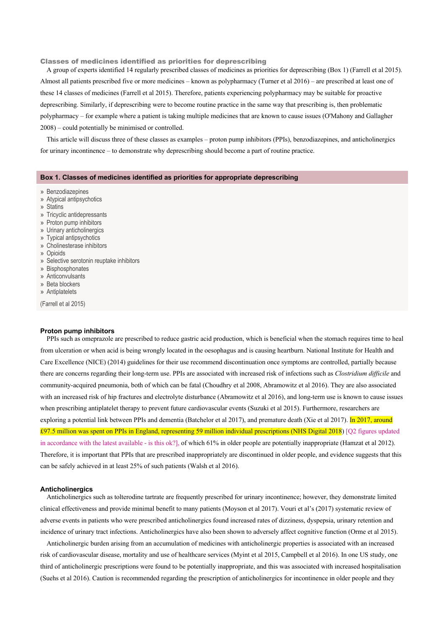Classes of medicines identified as priorities for deprescribing

A group of experts identified 14 regularly prescribed classes of medicines as priorities for deprescribing (Box 1) (Farrell et al 2015). Almost all patients prescribed five or more medicines – known as polypharmacy (Turner et al 2016) – are prescribed at least one of these 14 classes of medicines (Farrell et al 2015). Therefore, patients experiencing polypharmacy may be suitable for proactive deprescribing. Similarly, if deprescribing were to become routine practice in the same way that prescribing is, then problematic polypharmacy – for example where a patient is taking multiple medicines that are known to cause issues (O'Mahony and Gallagher 2008) – could potentially be minimised or controlled.

This article will discuss three of these classes as examples – proton pump inhibitors (PPIs), benzodiazepines, and anticholinergics for urinary incontinence – to demonstrate why deprescribing should become a part of routine practice.

## **Box 1. Classes of medicines identified as priorities for appropriate deprescribing**

- » Benzodiazepines
- » Atypical antipsychotics
- » Statins
- » Tricyclic antidepressants
- » Proton pump inhibitors
- » Urinary anticholinergics
- » Typical antipsychotics
- » Cholinesterase inhibitors
- » Opioids
- » Selective serotonin reuptake inhibitors
- » Bisphosphonates
- » Anticonvulsants
- » Beta blockers
- » Antiplatelets

(Farrell et al 2015)

## **Proton pump inhibitors**

PPIs such as omeprazole are prescribed to reduce gastric acid production, which is beneficial when the stomach requires time to heal from ulceration or when acid is being wrongly located in the oesophagus and is causing heartburn. National Institute for Health and Care Excellence (NICE) (2014) guidelines for their use recommend discontinuation once symptoms are controlled, partially because there are concerns regarding their long-term use. PPIs are associated with increased risk of infections such as *Clostridium difficile* and community-acquired pneumonia, both of which can be fatal (Choudhry et al 2008, Abramowitz et al 2016). They are also associated with an increased risk of hip fractures and electrolyte disturbance (Abramowitz et al 2016), and long-term use is known to cause issues when prescribing antiplatelet therapy to prevent future cardiovascular events (Suzuki et al 2015). Furthermore, researchers are exploring a potential link between PPIs and dementia (Batchelor et al 2017), and premature death (Xie et al 2017). In 2017, around £97.5 million was spent on PPIs in England, representing 59 million individual prescriptions (NHS Digital 2018) [Q2 figures updated in accordance with the latest available - is this ok?], of which 61% in older people are potentially inappropriate (Hamzat et al 2012). Therefore, it is important that PPIs that are prescribed inappropriately are discontinued in older people, and evidence suggests that this can be safely achieved in at least 25% of such patients (Walsh et al 2016).

#### **Anticholinergics**

Anticholinergics such as tolterodine tartrate are frequently prescribed for urinary incontinence; however, they demonstrate limited clinical effectiveness and provide minimal benefit to many patients (Moyson et al 2017). Vouri et al's (2017) systematic review of adverse events in patients who were prescribed anticholinergics found increased rates of dizziness, dyspepsia, urinary retention and incidence of urinary tract infections. Anticholinergics have also been shown to adversely affect cognitive function (Orme et al 2015).

Anticholinergic burden arising from an accumulation of medicines with anticholinergic properties is associated with an increased risk of cardiovascular disease, mortality and use of healthcare services (Myint et al 2015, Campbell et al 2016). In one US study, one third of anticholinergic prescriptions were found to be potentially inappropriate, and this was associated with increased hospitalisation (Suehs et al 2016). Caution is recommended regarding the prescription of anticholinergics for incontinence in older people and they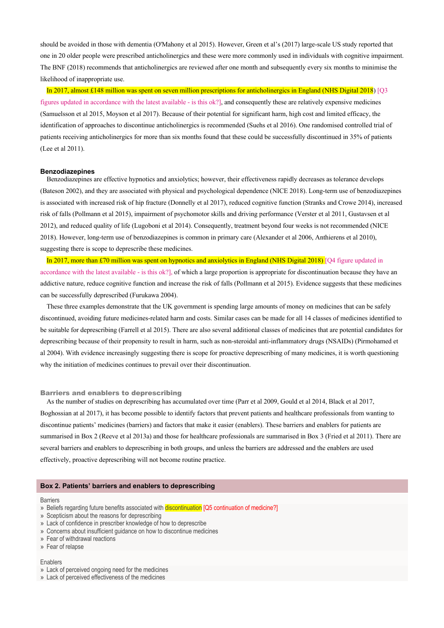should be avoided in those with dementia (O'Mahony et al 2015). However, Green et al's (2017) large-scale US study reported that one in 20 older people were prescribed anticholinergics and these were more commonly used in individuals with cognitive impairment. The BNF (2018) recommends that anticholinergics are reviewed after one month and subsequently every six months to minimise the likelihood of inappropriate use.

In 2017, almost £148 million was spent on seven million prescriptions for anticholinergics in England (NHS Digital 2018) [Q3 figures updated in accordance with the latest available - is this ok?], and consequently these are relatively expensive medicines (Samuelsson et al 2015, Moyson et al 2017). Because of their potential for significant harm, high cost and limited efficacy, the identification of approaches to discontinue anticholinergics is recommended (Suehs et al 2016). One randomised controlled trial of patients receiving anticholinergics for more than six months found that these could be successfully discontinued in 35% of patients (Lee et al 2011).

### **Benzodiazepines**

Benzodiazepines are effective hypnotics and anxiolytics; however, their effectiveness rapidly decreases as tolerance develops (Bateson 2002), and they are associated with physical and psychological dependence (NICE 2018). Long-term use of benzodiazepines is associated with increased risk of hip fracture (Donnelly et al 2017), reduced cognitive function (Stranks and Crowe 2014), increased risk of falls (Pollmann et al 2015), impairment of psychomotor skills and driving performance (Verster et al 2011, Gustavsen et al 2012), and reduced quality of life (Lugoboni et al 2014). Consequently, treatment beyond four weeks is not recommended (NICE 2018). However, long-term use of benzodiazepines is common in primary care (Alexander et al 2006, Anthierens et al 2010), suggesting there is scope to deprescribe these medicines.

In 2017, more than £70 million was spent on hypnotics and anxiolytics in England (NHS Digital 2018) [Q4 figure updated in accordance with the latest available - is this ok?], of which a large proportion is appropriate for discontinuation because they have an addictive nature, reduce cognitive function and increase the risk of falls (Pollmann et al 2015). Evidence suggests that these medicines can be successfully deprescribed (Furukawa 2004).

These three examples demonstrate that the UK government is spending large amounts of money on medicines that can be safely discontinued, avoiding future medicines-related harm and costs. Similar cases can be made for all 14 classes of medicines identified to be suitable for deprescribing (Farrell et al 2015). There are also several additional classes of medicines that are potential candidates for deprescribing because of their propensity to result in harm, such as non-steroidal anti-inflammatory drugs (NSAIDs) (Pirmohamed et al 2004). With evidence increasingly suggesting there is scope for proactive deprescribing of many medicines, it is worth questioning why the initiation of medicines continues to prevail over their discontinuation.

#### Barriers and enablers to deprescribing

As the number of studies on deprescribing has accumulated over time (Parr et al 2009, Gould et al 2014, Black et al 2017, Boghossian at al 2017), it has become possible to identify factors that prevent patients and healthcare professionals from wanting to discontinue patients' medicines (barriers) and factors that make it easier (enablers). These barriers and enablers for patients are summarised in Box 2 (Reeve et al 2013a) and those for healthcare professionals are summarised in Box 3 (Fried et al 2011). There are several barriers and enablers to deprescribing in both groups, and unless the barriers are addressed and the enablers are used effectively, proactive deprescribing will not become routine practice.

# **Box 2. Patients' barriers and enablers to deprescribing**

# Barriers

- » Beliefs regarding future benefits associated with **discontinuation** [Q5 continuation of medicine?]
- » Scepticism about the reasons for deprescribing
- » Lack of confidence in prescriber knowledge of how to deprescribe
- » Concerns about insufficient guidance on how to discontinue medicines
- » Fear of withdrawal reactions
- » Fear of relapse

## Enablers

- » Lack of perceived ongoing need for the medicines
- » Lack of perceived effectiveness of the medicines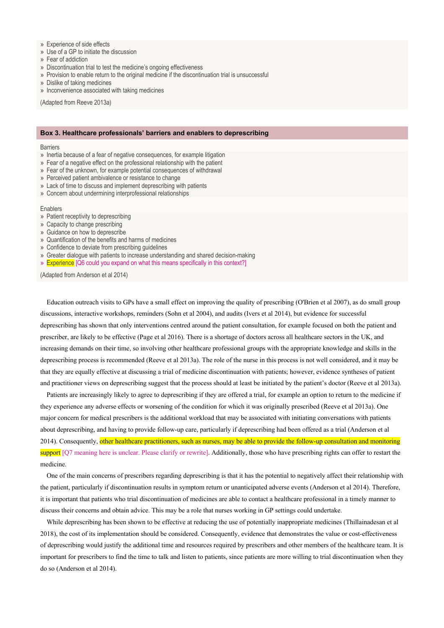- » Experience of side effects
- » Use of a GP to initiate the discussion
- » Fear of addiction
- » Discontinuation trial to test the medicine's ongoing effectiveness
- » Provision to enable return to the original medicine if the discontinuation trial is unsuccessful
- » Dislike of taking medicines
- » Inconvenience associated with taking medicines

(Adapted from Reeve 2013a)

# **Box 3. Healthcare professionals' barriers and enablers to deprescribing**

#### **Barriers**

- » Inertia because of a fear of negative consequences, for example litigation
- » Fear of a negative effect on the professional relationship with the patient
- » Fear of the unknown, for example potential consequences of withdrawal
- » Perceived patient ambivalence or resistance to change
- » Lack of time to discuss and implement deprescribing with patients
- » Concern about undermining interprofessional relationships

Enablers

- » Patient receptivity to deprescribing
- » Capacity to change prescribing
- » Guidance on how to deprescribe
- » Quantification of the benefits and harms of medicines
- » Confidence to deviate from prescribing guidelines
- » Greater dialogue with patients to increase understanding and shared decision-making
- » Experience [Q6 could you expand on what this means specifically in this context?]

(Adapted from Anderson et al 2014)

Education outreach visits to GPs have a small effect on improving the quality of prescribing (O'Brien et al 2007), as do small group discussions, interactive workshops, reminders (Sohn et al 2004), and audits (Ivers et al 2014), but evidence for successful deprescribing has shown that only interventions centred around the patient consultation, for example focused on both the patient and prescriber, are likely to be effective (Page et al 2016). There is a shortage of doctors across all healthcare sectors in the UK, and increasing demands on their time, so involving other healthcare professional groups with the appropriate knowledge and skills in the deprescribing process is recommended (Reeve et al 2013a). The role of the nurse in this process is not well considered, and it may be that they are equally effective at discussing a trial of medicine discontinuation with patients; however, evidence syntheses of patient and practitioner views on deprescribing suggest that the process should at least be initiated by the patient's doctor (Reeve et al 2013a).

Patients are increasingly likely to agree to deprescribing if they are offered a trial, for example an option to return to the medicine if they experience any adverse effects or worsening of the condition for which it was originally prescribed (Reeve et al 2013a). One major concern for medical prescribers is the additional workload that may be associated with initiating conversations with patients about deprescribing, and having to provide follow-up care, particularly if deprescribing had been offered as a trial (Anderson et al 2014). Consequently, other healthcare practitioners, such as nurses, may be able to provide the follow-up consultation and monitoring support [Q7 meaning here is unclear. Please clarify or rewrite]. Additionally, those who have prescribing rights can offer to restart the medicine.

One of the main concerns of prescribers regarding deprescribing is that it has the potential to negatively affect their relationship with the patient, particularly if discontinuation results in symptom return or unanticipated adverse events (Anderson et al 2014). Therefore, it is important that patients who trial discontinuation of medicines are able to contact a healthcare professional in a timely manner to discuss their concerns and obtain advice. This may be a role that nurses working in GP settings could undertake.

While deprescribing has been shown to be effective at reducing the use of potentially inappropriate medicines (Thillainadesan et al 2018), the cost of its implementation should be considered. Consequently, evidence that demonstrates the value or cost-effectiveness of deprescribing would justify the additional time and resources required by prescribers and other members of the healthcare team. It is important for prescribers to find the time to talk and listen to patients, since patients are more willing to trial discontinuation when they do so (Anderson et al 2014).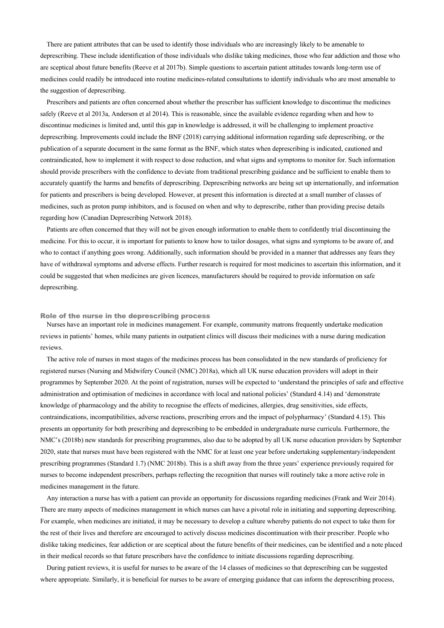There are patient attributes that can be used to identify those individuals who are increasingly likely to be amenable to deprescribing. These include identification of those individuals who dislike taking medicines, those who fear addiction and those who are sceptical about future benefits (Reeve et al 2017b). Simple questions to ascertain patient attitudes towards long-term use of medicines could readily be introduced into routine medicines-related consultations to identify individuals who are most amenable to the suggestion of deprescribing.

Prescribers and patients are often concerned about whether the prescriber has sufficient knowledge to discontinue the medicines safely (Reeve et al 2013a, Anderson et al 2014). This is reasonable, since the available evidence regarding when and how to discontinue medicines is limited and, until this gap in knowledge is addressed, it will be challenging to implement proactive deprescribing. Improvements could include the BNF (2018) carrying additional information regarding safe deprescribing, or the publication of a separate document in the same format as the BNF, which states when deprescribing is indicated, cautioned and contraindicated, how to implement it with respect to dose reduction, and what signs and symptoms to monitor for. Such information should provide prescribers with the confidence to deviate from traditional prescribing guidance and be sufficient to enable them to accurately quantify the harms and benefits of deprescribing. Deprescribing networks are being set up internationally, and information for patients and prescribers is being developed. However, at present this information is directed at a small number of classes of medicines, such as proton pump inhibitors, and is focused on when and why to deprescribe, rather than providing precise details regarding how (Canadian Deprescribing Network 2018).

Patients are often concerned that they will not be given enough information to enable them to confidently trial discontinuing the medicine. For this to occur, it is important for patients to know how to tailor dosages, what signs and symptoms to be aware of, and who to contact if anything goes wrong. Additionally, such information should be provided in a manner that addresses any fears they have of withdrawal symptoms and adverse effects. Further research is required for most medicines to ascertain this information, and it could be suggested that when medicines are given licences, manufacturers should be required to provide information on safe deprescribing.

# Role of the nurse in the deprescribing process

Nurses have an important role in medicines management. For example, community matrons frequently undertake medication reviews in patients' homes, while many patients in outpatient clinics will discuss their medicines with a nurse during medication reviews.

The active role of nurses in most stages of the medicines process has been consolidated in the new standards of proficiency for registered nurses (Nursing and Midwifery Council (NMC) 2018a), which all UK nurse education providers will adopt in their programmes by September 2020. At the point of registration, nurses will be expected to 'understand the principles of safe and effective administration and optimisation of medicines in accordance with local and national policies' (Standard 4.14) and 'demonstrate knowledge of pharmacology and the ability to recognise the effects of medicines, allergies, drug sensitivities, side effects, contraindications, incompatibilities, adverse reactions, prescribing errors and the impact of polypharmacy' (Standard 4.15). This presents an opportunity for both prescribing and deprescribing to be embedded in undergraduate nurse curricula. Furthermore, the NMC's (2018b) new standards for prescribing programmes, also due to be adopted by all UK nurse education providers by September 2020, state that nurses must have been registered with the NMC for at least one year before undertaking supplementary/independent prescribing programmes (Standard 1.7) (NMC 2018b). This is a shift away from the three years' experience previously required for nurses to become independent prescribers, perhaps reflecting the recognition that nurses will routinely take a more active role in medicines management in the future.

Any interaction a nurse has with a patient can provide an opportunity for discussions regarding medicines (Frank and Weir 2014). There are many aspects of medicines management in which nurses can have a pivotal role in initiating and supporting deprescribing. For example, when medicines are initiated, it may be necessary to develop a culture whereby patients do not expect to take them for the rest of their lives and therefore are encouraged to actively discuss medicines discontinuation with their prescriber. People who dislike taking medicines, fear addiction or are sceptical about the future benefits of their medicines, can be identified and a note placed in their medical records so that future prescribers have the confidence to initiate discussions regarding deprescribing.

During patient reviews, it is useful for nurses to be aware of the 14 classes of medicines so that deprescribing can be suggested where appropriate. Similarly, it is beneficial for nurses to be aware of emerging guidance that can inform the deprescribing process,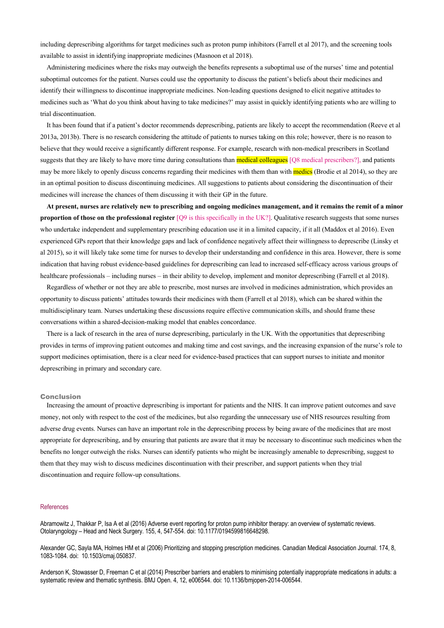including deprescribing algorithms for target medicines such as proton pump inhibitors (Farrell et al 2017), and the screening tools available to assist in identifying inappropriate medicines (Masnoon et al 2018).

Administering medicines where the risks may outweigh the benefits represents a suboptimal use of the nurses' time and potential suboptimal outcomes for the patient. Nurses could use the opportunity to discuss the patient's beliefs about their medicines and identify their willingness to discontinue inappropriate medicines. Non-leading questions designed to elicit negative attitudes to medicines such as 'What do you think about having to take medicines?' may assist in quickly identifying patients who are willing to trial discontinuation.

It has been found that if a patient's doctor recommends deprescribing, patients are likely to accept the recommendation (Reeve et al 2013a, 2013b). There is no research considering the attitude of patients to nurses taking on this role; however, there is no reason to believe that they would receive a significantly different response. For example, research with non-medical prescribers in Scotland suggests that they are likely to have more time during consultations than **medical colleagues** [Q8 medical prescribers?], and patients may be more likely to openly discuss concerns regarding their medicines with them than with **medics** (Brodie et al 2014), so they are in an optimal position to discuss discontinuing medicines. All suggestions to patients about considering the discontinuation of their medicines will increase the chances of them discussing it with their GP in the future.

**At present, nurses are relatively new to prescribing and ongoing medicines management, and it remains the remit of a minor proportion of those on the professional register** [Q9 is this specifically in the UK?]. Qualitative research suggests that some nurses who undertake independent and supplementary prescribing education use it in a limited capacity, if it all (Maddox et al 2016). Even experienced GPs report that their knowledge gaps and lack of confidence negatively affect their willingness to deprescribe (Linsky et al 2015), so it will likely take some time for nurses to develop their understanding and confidence in this area. However, there is some indication that having robust evidence-based guidelines for deprescribing can lead to increased self-efficacy across various groups of healthcare professionals – including nurses – in their ability to develop, implement and monitor deprescribing (Farrell et al 2018).

Regardless of whether or not they are able to prescribe, most nurses are involved in medicines administration, which provides an opportunity to discuss patients' attitudes towards their medicines with them (Farrell et al 2018), which can be shared within the multidisciplinary team. Nurses undertaking these discussions require effective communication skills, and should frame these conversations within a shared-decision-making model that enables concordance.

There is a lack of research in the area of nurse deprescribing, particularly in the UK. With the opportunities that deprescribing provides in terms of improving patient outcomes and making time and cost savings, and the increasing expansion of the nurse's role to support medicines optimisation, there is a clear need for evidence-based practices that can support nurses to initiate and monitor deprescribing in primary and secondary care.

#### Conclusion

Increasing the amount of proactive deprescribing is important for patients and the NHS. It can improve patient outcomes and save money, not only with respect to the cost of the medicines, but also regarding the unnecessary use of NHS resources resulting from adverse drug events. Nurses can have an important role in the deprescribing process by being aware of the medicines that are most appropriate for deprescribing, and by ensuring that patients are aware that it may be necessary to discontinue such medicines when the benefits no longer outweigh the risks. Nurses can identify patients who might be increasingly amenable to deprescribing, suggest to them that they may wish to discuss medicines discontinuation with their prescriber, and support patients when they trial discontinuation and require follow-up consultations.

## **References**

Abramowitz J, Thakkar P, Isa A et al (2016) Adverse event reporting for proton pump inhibitor therapy: an overview of systematic reviews. Otolaryngology – Head and Neck Surgery. 155, 4, 547-554. doi: 10.1177/0194599816648298.

Alexander GC, Sayla MA, Holmes HM et al (2006) Prioritizing and stopping prescription medicines. Canadian Medical Association Journal. 174, 8, 1083-1084. doi: 10.1503/cmaj.050837.

Anderson K, Stowasser D, Freeman C et al (2014) Prescriber barriers and enablers to minimising potentially inappropriate medications in adults: a systematic review and thematic synthesis. BMJ Open. 4, 12, e006544. doi: 10.1136/bmjopen-2014-006544.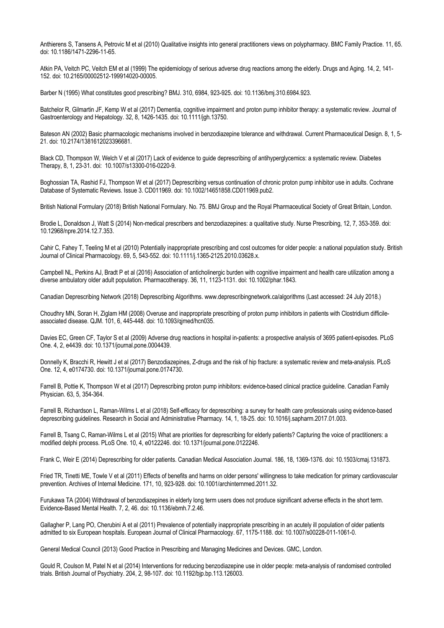Anthierens S, Tansens A, Petrovic M et al (2010) Qualitative insights into general practitioners views on polypharmacy. BMC Family Practice. 11, 65. doi: 10.1186/1471-2296-11-65.

Atkin PA, Veitch PC, Veitch EM et al (1999) The epidemiology of serious adverse drug reactions among the elderly. Drugs and Aging. 14, 2, 141- 152. doi: 10.2165/00002512-199914020-00005.

Barber N (1995) What constitutes good prescribing? BMJ. 310, 6984, 923-925. doi: 10.1136/bmj.310.6984.923.

Batchelor R, Gilmartin JF, Kemp W et al (2017) Dementia, cognitive impairment and proton pump inhibitor therapy: a systematic review. Journal of Gastroenterology and Hepatology. 32, 8, 1426-1435. doi: 10.1111/jgh.13750.

Bateson AN (2002) Basic pharmacologic mechanisms involved in benzodiazepine tolerance and withdrawal. Current Pharmaceutical Design. 8, 1, 5- 21. doi: 10.2174/1381612023396681.

Black CD, Thompson W, Welch V et al (2017) Lack of evidence to guide deprescribing of antihyperglycemics: a systematic review. Diabetes Therapy, 8, 1, 23-31. doi: 10.1007/s13300-016-0220-9.

Boghossian TA, Rashid FJ, Thompson W et al (2017) Deprescribing versus continuation of chronic proton pump inhibitor use in adults. Cochrane Database of Systematic Reviews. Issue 3. CD011969. doi: 10.1002/14651858.CD011969.pub2.

British National Formulary (2018) British National Formulary. No. 75. BMJ Group and the Royal Pharmaceutical Society of Great Britain, London.

Brodie L, Donaldson J, Watt S (2014) Non-medical prescribers and benzodiazepines: a qualitative study. Nurse Prescribing, 12, 7, 353-359. doi: 10.12968/npre.2014.12.7.353.

Cahir C, Fahey T, Teeling M et al (2010) Potentially inappropriate prescribing and cost outcomes for older people: a national population study. British Journal of Clinical Pharmacology. 69, 5, 543-552. doi: 10.1111/j.1365-2125.2010.03628.x.

Campbell NL, Perkins AJ, Bradt P et al (2016) Association of anticholinergic burden with cognitive impairment and health care utilization among a diverse ambulatory older adult population. Pharmacotherapy. 36, 11, 1123-1131. doi: 10.1002/phar.1843.

Canadian Deprescribing Network (2018) Deprescribing Algorithms. www.deprescribingnetwork.ca/algorithms (Last accessed: 24 July 2018.)

Choudhry MN, Soran H, Ziglam HM (2008) Overuse and inappropriate prescribing of proton pump inhibitors in patients with Clostridium difficileassociated disease. QJM. 101, 6, 445-448. doi: 10.1093/qjmed/hcn035.

Davies EC, Green CF, Taylor S et al (2009) Adverse drug reactions in hospital in-patients: a prospective analysis of 3695 patient-episodes. PLoS One. 4, 2, e4439. doi: 10.1371/journal.pone.0004439.

Donnelly K, Bracchi R, Hewitt J et al (2017) Benzodiazepines, Z-drugs and the risk of hip fracture: a systematic review and meta-analysis. PLoS One. 12, 4, e0174730. doi: 10.1371/journal.pone.0174730.

Farrell B, Pottie K, Thompson W et al (2017) Deprescribing proton pump inhibitors: evidence-based clinical practice guideline. Canadian Family Physician. 63, 5, 354-364.

Farrell B, Richardson L, Raman-Wilms L et al (2018) Self-efficacy for deprescribing: a survey for health care professionals using evidence-based deprescribing guidelines. Research in Social and Administrative Pharmacy. 14, 1, 18-25. doi: 10.1016/j.sapharm.2017.01.003.

Farrell B, Tsang C, Raman-Wilms L et al (2015) What are priorities for deprescribing for elderly patients? Capturing the voice of practitioners: a modified delphi process. PLoS One. 10, 4, e0122246. doi: 10.1371/journal.pone.0122246.

Frank C, Weir E (2014) Deprescribing for older patients. Canadian Medical Association Journal. 186, 18, 1369-1376. doi: 10.1503/cmaj.131873.

Fried TR, Tinetti ME, Towle V et al (2011) Effects of benefits and harms on older persons' willingness to take medication for primary cardiovascular prevention. Archives of Internal Medicine. 171, 10, 923-928. doi: 10.1001/archinternmed.2011.32.

Furukawa TA (2004) Withdrawal of benzodiazepines in elderly long term users does not produce significant adverse effects in the short term. Evidence-Based Mental Health. 7, 2, 46. doi: 10.1136/ebmh.7.2.46.

Gallagher P, Lang PO, Cherubini A et al (2011) Prevalence of potentially inappropriate prescribing in an acutely ill population of older patients admitted to six European hospitals. European Journal of Clinical Pharmacology. 67, 1175-1188. doi: 10.1007/s00228-011-1061-0.

General Medical Council (2013) Good Practice in Prescribing and Managing Medicines and Devices. GMC, London.

Gould R, Coulson M, Patel N et al (2014) Interventions for reducing benzodiazepine use in older people: meta-analysis of randomised controlled trials. British Journal of Psychiatry. 204, 2, 98-107. doi: 10.1192/bjp.bp.113.126003.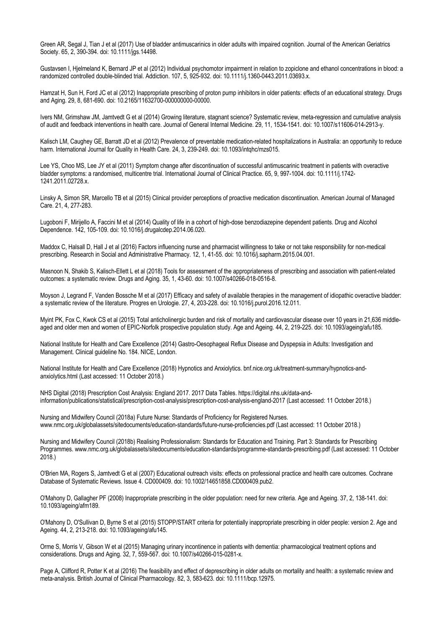Green AR, Segal J, Tian J et al (2017) Use of bladder antimuscarinics in older adults with impaired cognition. Journal of the American Geriatrics Society. 65, 2, 390-394. doi: 10.1111/jgs.14498.

Gustavsen I, Hjelmeland K, Bernard JP et al (2012) Individual psychomotor impairment in relation to zopiclone and ethanol concentrations in blood: a randomized controlled double-blinded trial. Addiction. 107, 5, 925-932. doi: 10.1111/j.1360-0443.2011.03693.x.

Hamzat H, Sun H, Ford JC et al (2012) Inappropriate prescribing of proton pump inhibitors in older patients: effects of an educational strategy. Drugs and Aging. 29, 8, 681-690. doi: 10.2165/11632700-000000000-00000.

Ivers NM, Grimshaw JM, Jamtvedt G et al (2014) Growing literature, stagnant science? Systematic review, meta-regression and cumulative analysis of audit and feedback interventions in health care. Journal of General Internal Medicine. 29, 11, 1534-1541. doi: 10.1007/s11606-014-2913-y.

Kalisch LM, Caughey GE, Barratt JD et al (2012) Prevalence of preventable medication-related hospitalizations in Australia: an opportunity to reduce harm. International Journal for Quality in Health Care. 24, 3, 239-249. doi: 10.1093/intqhc/mzs015.

Lee YS, Choo MS, Lee JY et al (2011) Symptom change after discontinuation of successful antimuscarinic treatment in patients with overactive bladder symptoms: a randomised, multicentre trial. International Journal of Clinical Practice. 65, 9, 997-1004. doi: 10.1111/j.1742- 1241.2011.02728.x.

Linsky A, Simon SR, Marcello TB et al (2015) Clinical provider perceptions of proactive medication discontinuation. American Journal of Managed Care. 21, 4, 277-283.

Lugoboni F, Mirijello A, Faccini M et al (2014) Quality of life in a cohort of high-dose benzodiazepine dependent patients. Drug and Alcohol Dependence. 142, 105-109. doi: 10.1016/j.drugalcdep.2014.06.020.

Maddox C, Halsall D, Hall J et al (2016) Factors influencing nurse and pharmacist willingness to take or not take responsibility for non-medical prescribing. Research in Social and Administrative Pharmacy. 12, 1, 41-55. doi: 10.1016/j.sapharm.2015.04.001.

Masnoon N, Shakib S, Kalisch-Ellett L et al (2018) Tools for assessment of the appropriateness of prescribing and association with patient-related outcomes: a systematic review. Drugs and Aging. 35, 1, 43-60. doi: 10.1007/s40266-018-0516-8.

Moyson J, Legrand F, Vanden Bossche M et al (2017) Efficacy and safety of available therapies in the management of idiopathic overactive bladder: a systematic review of the literature. Progres en Urologie. 27, 4, 203-228. doi: 10.1016/j.purol.2016.12.011.

Myint PK, Fox C, Kwok CS et al (2015) Total anticholinergic burden and risk of mortality and cardiovascular disease over 10 years in 21,636 middleaged and older men and women of EPIC-Norfolk prospective population study. Age and Ageing. 44, 2, 219-225. doi: 10.1093/ageing/afu185.

National Institute for Health and Care Excellence (2014) Gastro-Oesophageal Reflux Disease and Dyspepsia in Adults: Investigation and Management. Clinical guideline No. 184. NICE, London.

National Institute for Health and Care Excellence (2018) Hypnotics and Anxiolytics. bnf.nice.org.uk/treatment-summary/hypnotics-andanxiolytics.html (Last accessed: 11 October 2018.)

NHS Digital (2018) Prescription Cost Analysis: England 2017. 2017 Data Tables. https://digital.nhs.uk/data-andinformation/publications/statistical/prescription-cost-analysis/prescription-cost-analysis-england-2017 (Last accessed: 11 October 2018.)

Nursing and Midwifery Council (2018a) Future Nurse: Standards of Proficiency for Registered Nurses. www.nmc.org.uk/globalassets/sitedocuments/education-standards/future-nurse-proficiencies.pdf (Last accessed: 11 October 2018.)

Nursing and Midwifery Council (2018b) Realising Professionalism: Standards for Education and Training. Part 3: Standards for Prescribing Programmes. www.nmc.org.uk/globalassets/sitedocuments/education-standards/programme-standards-prescribing.pdf (Last accessed: 11 October 2018.)

O'Brien MA, Rogers S, Jamtvedt G et al (2007) Educational outreach visits: effects on professional practice and health care outcomes. Cochrane Database of Systematic Reviews. Issue 4. CD000409. doi: 10.1002/14651858.CD000409.pub2.

O'Mahony D, Gallagher PF (2008) Inappropriate prescribing in the older population: need for new criteria. Age and Ageing. 37, 2, 138-141. doi: 10.1093/ageing/afm189.

O'Mahony D, O'Sullivan D, Byrne S et al (2015) STOPP/START criteria for potentially inappropriate prescribing in older people: version 2. Age and Ageing. 44, 2, 213-218. doi: 10.1093/ageing/afu145.

Orme S, Morris V, Gibson W et al (2015) Managing urinary incontinence in patients with dementia: pharmacological treatment options and considerations. Drugs and Aging. 32, 7, 559-567. doi: 10.1007/s40266-015-0281-x.

Page A, Clifford R, Potter K et al (2016) The feasibility and effect of deprescribing in older adults on mortality and health: a systematic review and meta-analysis. British Journal of Clinical Pharmacology. 82, 3, 583-623. doi: 10.1111/bcp.12975.